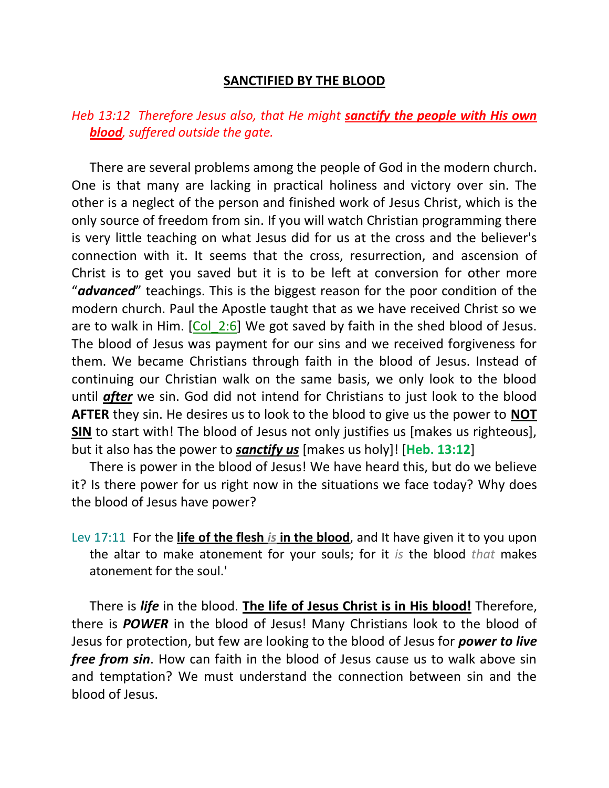## **SANCTIFIED BY THE BLOOD**

## *Heb 13:12 Therefore Jesus also, that He might sanctify the people with His own blood, suffered outside the gate.*

There are several problems among the people of God in the modern church. One is that many are lacking in practical holiness and victory over sin. The other is a neglect of the person and finished work of Jesus Christ, which is the only source of freedom from sin. If you will watch Christian programming there is very little teaching on what Jesus did for us at the cross and the believer's connection with it. It seems that the cross, resurrection, and ascension of Christ is to get you saved but it is to be left at conversion for other more "*advanced*" teachings. This is the biggest reason for the poor condition of the modern church. Paul the Apostle taught that as we have received Christ so we are to walk in Him. [Col 2:6] We got saved by faith in the shed blood of Jesus. The blood of Jesus was payment for our sins and we received forgiveness for them. We became Christians through faith in the blood of Jesus. Instead of continuing our Christian walk on the same basis, we only look to the blood until *after* we sin. God did not intend for Christians to just look to the blood **AFTER** they sin. He desires us to look to the blood to give us the power to **NOT SIN** to start with! The blood of Jesus not only justifies us [makes us righteous], but it also has the power to *sanctify us* [makes us holy]! [**Heb. 13:12**]

There is power in the blood of Jesus! We have heard this, but do we believe it? Is there power for us right now in the situations we face today? Why does the blood of Jesus have power?

Lev 17:11 For the **life of the flesh** *is* **in the blood**, and It have given it to you upon the altar to make atonement for your souls; for it *is* the blood *that* makes atonement for the soul.'

There is *life* in the blood. **The life of Jesus Christ is in His blood!** Therefore, there is *POWER* in the blood of Jesus! Many Christians look to the blood of Jesus for protection, but few are looking to the blood of Jesus for *power to live free from sin*. How can faith in the blood of Jesus cause us to walk above sin and temptation? We must understand the connection between sin and the blood of Jesus.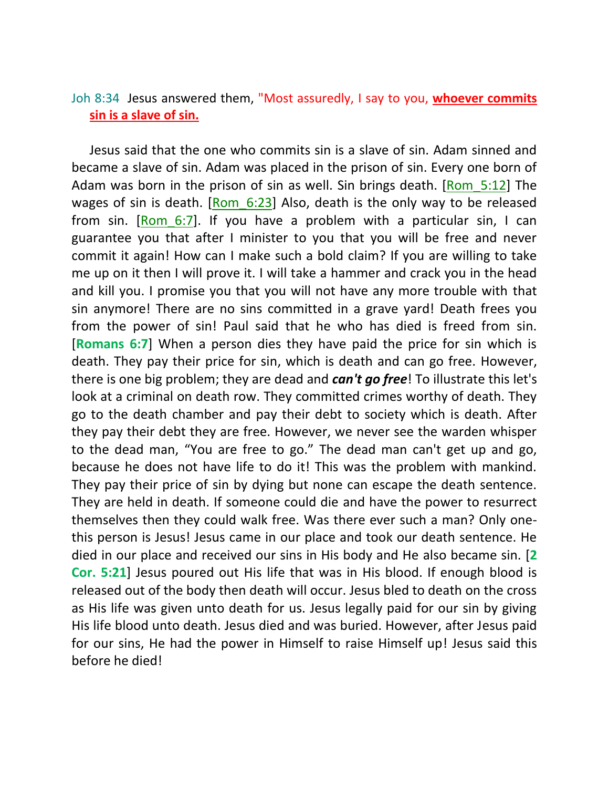## Joh 8:34 Jesus answered them, "Most assuredly, I say to you, **whoever commits sin is a slave of sin.**

Jesus said that the one who commits sin is a slave of sin. Adam sinned and became a slave of sin. Adam was placed in the prison of sin. Every one born of Adam was born in the prison of sin as well. Sin brings death. [Rom\_5:12] The wages of sin is death. [Rom 6:23] Also, death is the only way to be released from sin. [Rom 6:7]. If you have a problem with a particular sin, I can guarantee you that after I minister to you that you will be free and never commit it again! How can I make such a bold claim? If you are willing to take me up on it then I will prove it. I will take a hammer and crack you in the head and kill you. I promise you that you will not have any more trouble with that sin anymore! There are no sins committed in a grave yard! Death frees you from the power of sin! Paul said that he who has died is freed from sin. [**Romans 6:7**] When a person dies they have paid the price for sin which is death. They pay their price for sin, which is death and can go free. However, there is one big problem; they are dead and *can't go free*! To illustrate this let's look at a criminal on death row. They committed crimes worthy of death. They go to the death chamber and pay their debt to society which is death. After they pay their debt they are free. However, we never see the warden whisper to the dead man, "You are free to go." The dead man can't get up and go, because he does not have life to do it! This was the problem with mankind. They pay their price of sin by dying but none can escape the death sentence. They are held in death. If someone could die and have the power to resurrect themselves then they could walk free. Was there ever such a man? Only onethis person is Jesus! Jesus came in our place and took our death sentence. He died in our place and received our sins in His body and He also became sin. [**2 Cor. 5:21**] Jesus poured out His life that was in His blood. If enough blood is released out of the body then death will occur. Jesus bled to death on the cross as His life was given unto death for us. Jesus legally paid for our sin by giving His life blood unto death. Jesus died and was buried. However, after Jesus paid for our sins, He had the power in Himself to raise Himself up! Jesus said this before he died!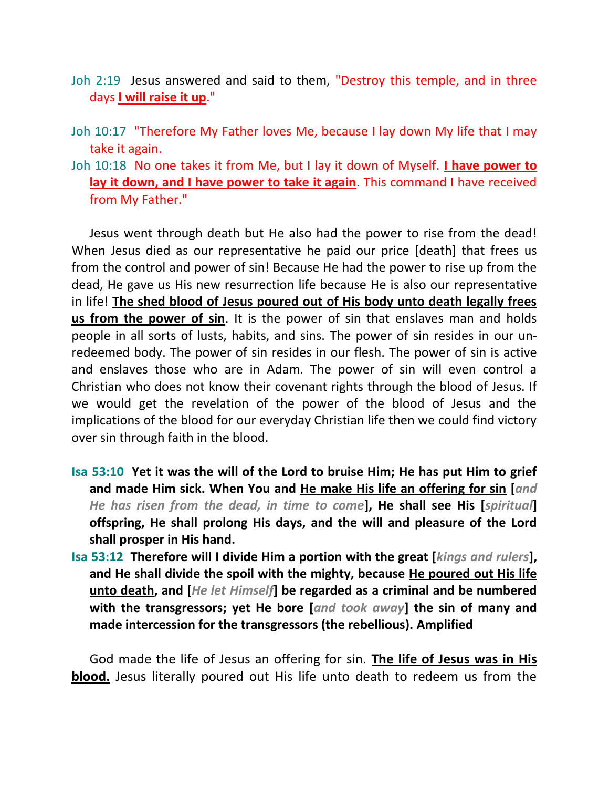- Joh 2:19 Jesus answered and said to them, "Destroy this temple, and in three days **I will raise it up**."
- Joh 10:17 "Therefore My Father loves Me, because I lay down My life that I may take it again.
- Joh 10:18 No one takes it from Me, but I lay it down of Myself. **I have power to lay it down, and I have power to take it again**. This command I have received from My Father."

Jesus went through death but He also had the power to rise from the dead! When Jesus died as our representative he paid our price [death] that frees us from the control and power of sin! Because He had the power to rise up from the dead, He gave us His new resurrection life because He is also our representative in life! **The shed blood of Jesus poured out of His body unto death legally frees us from the power of sin**. It is the power of sin that enslaves man and holds people in all sorts of lusts, habits, and sins. The power of sin resides in our unredeemed body. The power of sin resides in our flesh. The power of sin is active and enslaves those who are in Adam. The power of sin will even control a Christian who does not know their covenant rights through the blood of Jesus. If we would get the revelation of the power of the blood of Jesus and the implications of the blood for our everyday Christian life then we could find victory over sin through faith in the blood.

- **Isa 53:10 Yet it was the will of the Lord to bruise Him; He has put Him to grief and made Him sick. When You and He make His life an offering for sin [***and He has risen from the dead, in time to come***], He shall see His [***spiritual***] offspring, He shall prolong His days, and the will and pleasure of the Lord shall prosper in His hand.**
- **Isa 53:12 Therefore will I divide Him a portion with the great [***kings and rulers***], and He shall divide the spoil with the mighty, because He poured out His life unto death, and [***He let Himself***] be regarded as a criminal and be numbered with the transgressors; yet He bore [***and took away***] the sin of many and made intercession for the transgressors (the rebellious). Amplified**

God made the life of Jesus an offering for sin. **The life of Jesus was in His blood.** Jesus literally poured out His life unto death to redeem us from the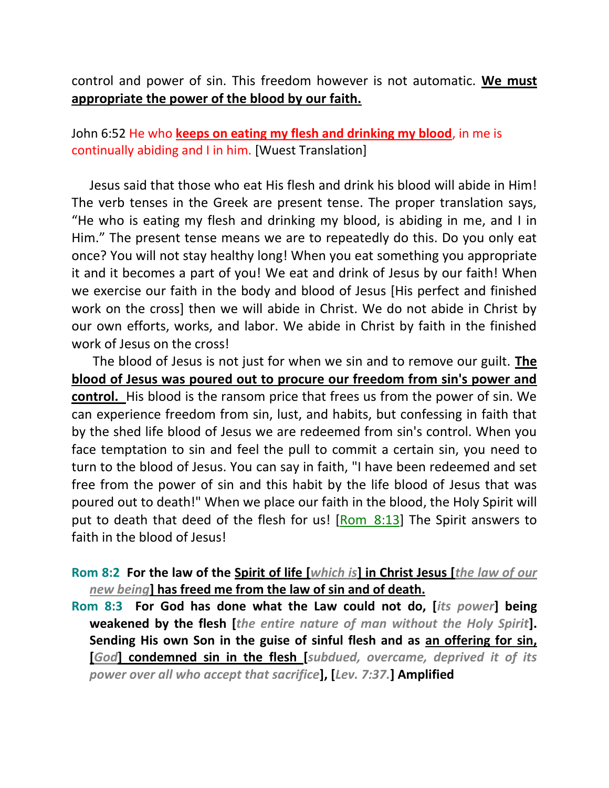control and power of sin. This freedom however is not automatic. **We must appropriate the power of the blood by our faith.**

John 6:52 He who **keeps on eating my flesh and drinking my blood**, in me is continually abiding and I in him. [Wuest Translation]

Jesus said that those who eat His flesh and drink his blood will abide in Him! The verb tenses in the Greek are present tense. The proper translation says, "He who is eating my flesh and drinking my blood, is abiding in me, and I in Him." The present tense means we are to repeatedly do this. Do you only eat once? You will not stay healthy long! When you eat something you appropriate it and it becomes a part of you! We eat and drink of Jesus by our faith! When we exercise our faith in the body and blood of Jesus [His perfect and finished work on the cross] then we will abide in Christ. We do not abide in Christ by our own efforts, works, and labor. We abide in Christ by faith in the finished work of Jesus on the cross!

The blood of Jesus is not just for when we sin and to remove our guilt. **The blood of Jesus was poured out to procure our freedom from sin's power and control.** His blood is the ransom price that frees us from the power of sin. We can experience freedom from sin, lust, and habits, but confessing in faith that by the shed life blood of Jesus we are redeemed from sin's control. When you face temptation to sin and feel the pull to commit a certain sin, you need to turn to the blood of Jesus. You can say in faith, "I have been redeemed and set free from the power of sin and this habit by the life blood of Jesus that was poured out to death!" When we place our faith in the blood, the Holy Spirit will put to death that deed of the flesh for us! [Rom 8:13] The Spirit answers to faith in the blood of Jesus!

## **Rom 8:2 For the law of the Spirit of life [***which is***] in Christ Jesus [***the law of our new being***] has freed me from the law of sin and of death.**

**Rom 8:3 For God has done what the Law could not do, [***its power***] being weakened by the flesh [***the entire nature of man without the Holy Spirit***]. Sending His own Son in the guise of sinful flesh and as an offering for sin, [***God***] condemned sin in the flesh [***subdued, overcame, deprived it of its power over all who accept that sacrifice***], [***Lev. 7:37.***] Amplified**